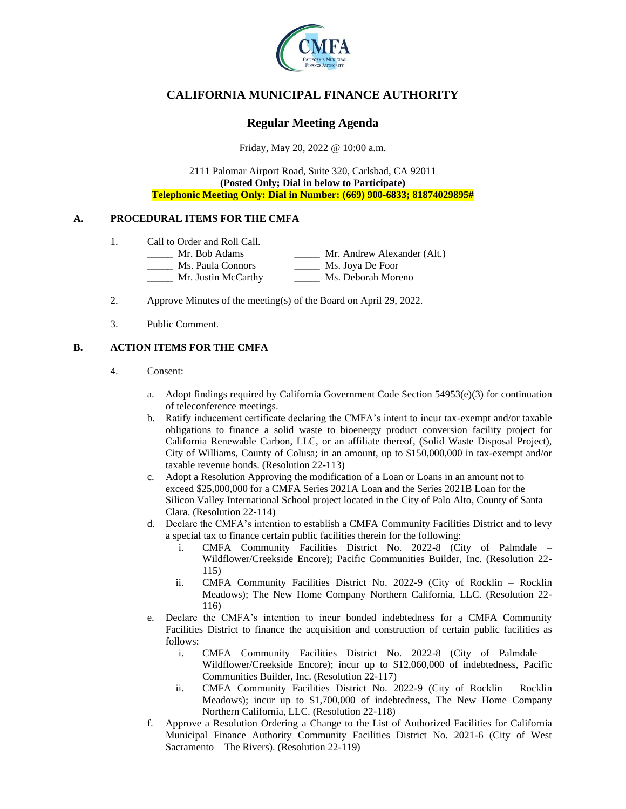

# **CALIFORNIA MUNICIPAL FINANCE AUTHORITY**

## **Regular Meeting Agenda**

Friday, May 20, 2022 @ 10:00 a.m.

2111 Palomar Airport Road, Suite 320, Carlsbad, CA 92011 **(Posted Only; Dial in below to Participate) Telephonic Meeting Only: Dial in Number: (669) 900-6833; 81874029895#**

### **A. PROCEDURAL ITEMS FOR THE CMFA**

- 1. Call to Order and Roll Call.
	- \_\_\_\_\_ Mr. Bob Adams \_\_\_\_\_ Mr. Andrew Alexander (Alt.)
		- \_\_\_\_\_ Ms. Paula Connors \_\_\_\_\_ Ms. Joya De Foor
		- Mr. Justin McCarthy Ms. Deborah Moreno
- 2. Approve Minutes of the meeting(s) of the Board on April 29, 2022.
- 3. Public Comment.

### **B. ACTION ITEMS FOR THE CMFA**

- 4. Consent:
	- a. Adopt findings required by California Government Code Section  $54953(e)(3)$  for continuation of teleconference meetings.
	- b. Ratify inducement certificate declaring the CMFA's intent to incur tax-exempt and/or taxable obligations to finance a solid waste to bioenergy product conversion facility project for California Renewable Carbon, LLC, or an affiliate thereof, (Solid Waste Disposal Project), City of Williams, County of Colusa; in an amount, up to \$150,000,000 in tax-exempt and/or taxable revenue bonds. (Resolution 22-113)
	- c. Adopt a Resolution Approving the modification of a Loan or Loans in an amount not to exceed \$25,000,000 for a CMFA Series 2021A Loan and the Series 2021B Loan for the Silicon Valley International School project located in the City of Palo Alto, County of Santa Clara. (Resolution 22-114)
	- d. Declare the CMFA's intention to establish a CMFA Community Facilities District and to levy a special tax to finance certain public facilities therein for the following:
		- i. CMFA Community Facilities District No. 2022-8 (City of Palmdale Wildflower/Creekside Encore); Pacific Communities Builder, Inc. (Resolution 22- 115)
		- ii. CMFA Community Facilities District No. 2022-9 (City of Rocklin Rocklin Meadows); The New Home Company Northern California, LLC. (Resolution 22- 116)
	- e. Declare the CMFA's intention to incur bonded indebtedness for a CMFA Community Facilities District to finance the acquisition and construction of certain public facilities as follows:
		- i. CMFA Community Facilities District No. 2022-8 (City of Palmdale Wildflower/Creekside Encore); incur up to \$12,060,000 of indebtedness, Pacific Communities Builder, Inc. (Resolution 22-117)
		- ii. CMFA Community Facilities District No. 2022-9 (City of Rocklin Rocklin Meadows); incur up to \$1,700,000 of indebtedness, The New Home Company Northern California, LLC. (Resolution 22-118)
	- f. Approve a Resolution Ordering a Change to the List of Authorized Facilities for California Municipal Finance Authority Community Facilities District No. 2021-6 (City of West Sacramento – The Rivers). (Resolution 22-119)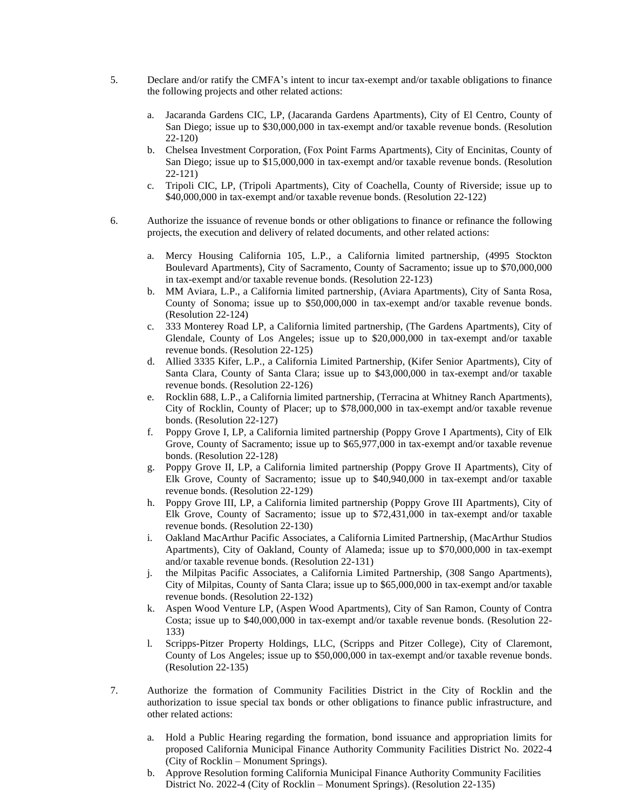- 5. Declare and/or ratify the CMFA's intent to incur tax-exempt and/or taxable obligations to finance the following projects and other related actions:
	- a. Jacaranda Gardens CIC, LP, (Jacaranda Gardens Apartments), City of El Centro, County of San Diego; issue up to \$30,000,000 in tax-exempt and/or taxable revenue bonds. (Resolution 22-120)
	- b. Chelsea Investment Corporation, (Fox Point Farms Apartments), City of Encinitas, County of San Diego; issue up to \$15,000,000 in tax-exempt and/or taxable revenue bonds. (Resolution 22-121)
	- c. Tripoli CIC, LP, (Tripoli Apartments), City of Coachella, County of Riverside; issue up to \$40,000,000 in tax-exempt and/or taxable revenue bonds. (Resolution 22-122)
- 6. Authorize the issuance of revenue bonds or other obligations to finance or refinance the following projects, the execution and delivery of related documents, and other related actions:
	- Mercy Housing California 105, L.P., a California limited partnership, (4995 Stockton Boulevard Apartments), City of Sacramento, County of Sacramento; issue up to \$70,000,000 in tax-exempt and/or taxable revenue bonds. (Resolution 22-123)
	- b. MM Aviara, L.P., a California limited partnership, (Aviara Apartments), City of Santa Rosa, County of Sonoma; issue up to \$50,000,000 in tax-exempt and/or taxable revenue bonds. (Resolution 22-124)
	- c. 333 Monterey Road LP, a California limited partnership, (The Gardens Apartments), City of Glendale, County of Los Angeles; issue up to \$20,000,000 in tax-exempt and/or taxable revenue bonds. (Resolution 22-125)
	- d. Allied 3335 Kifer, L.P., a California Limited Partnership, (Kifer Senior Apartments), City of Santa Clara, County of Santa Clara; issue up to \$43,000,000 in tax-exempt and/or taxable revenue bonds. (Resolution 22-126)
	- e. Rocklin 688, L.P., a California limited partnership, (Terracina at Whitney Ranch Apartments), City of Rocklin, County of Placer; up to \$78,000,000 in tax-exempt and/or taxable revenue bonds. (Resolution 22-127)
	- f. Poppy Grove I, LP, a California limited partnership (Poppy Grove I Apartments), City of Elk Grove, County of Sacramento; issue up to \$65,977,000 in tax-exempt and/or taxable revenue bonds. (Resolution 22-128)
	- g. Poppy Grove II, LP, a California limited partnership (Poppy Grove II Apartments), City of Elk Grove, County of Sacramento; issue up to \$40,940,000 in tax-exempt and/or taxable revenue bonds. (Resolution 22-129)
	- h. Poppy Grove III, LP, a California limited partnership (Poppy Grove III Apartments), City of Elk Grove, County of Sacramento; issue up to \$72,431,000 in tax-exempt and/or taxable revenue bonds. (Resolution 22-130)
	- i. Oakland MacArthur Pacific Associates, a California Limited Partnership, (MacArthur Studios Apartments), City of Oakland, County of Alameda; issue up to \$70,000,000 in tax-exempt and/or taxable revenue bonds. (Resolution 22-131)
	- j. the Milpitas Pacific Associates, a California Limited Partnership, (308 Sango Apartments), City of Milpitas, County of Santa Clara; issue up to \$65,000,000 in tax-exempt and/or taxable revenue bonds. (Resolution 22-132)
	- k. Aspen Wood Venture LP, (Aspen Wood Apartments), City of San Ramon, County of Contra Costa; issue up to \$40,000,000 in tax-exempt and/or taxable revenue bonds. (Resolution 22- 133)
	- l. Scripps-Pitzer Property Holdings, LLC, (Scripps and Pitzer College), City of Claremont, County of Los Angeles; issue up to \$50,000,000 in tax-exempt and/or taxable revenue bonds. (Resolution 22-135)
- 7. Authorize the formation of Community Facilities District in the City of Rocklin and the authorization to issue special tax bonds or other obligations to finance public infrastructure, and other related actions:
	- a. Hold a Public Hearing regarding the formation, bond issuance and appropriation limits for proposed California Municipal Finance Authority Community Facilities District No. 2022-4 (City of Rocklin – Monument Springs).
	- b. Approve Resolution forming California Municipal Finance Authority Community Facilities District No. 2022-4 (City of Rocklin – Monument Springs). (Resolution 22-135)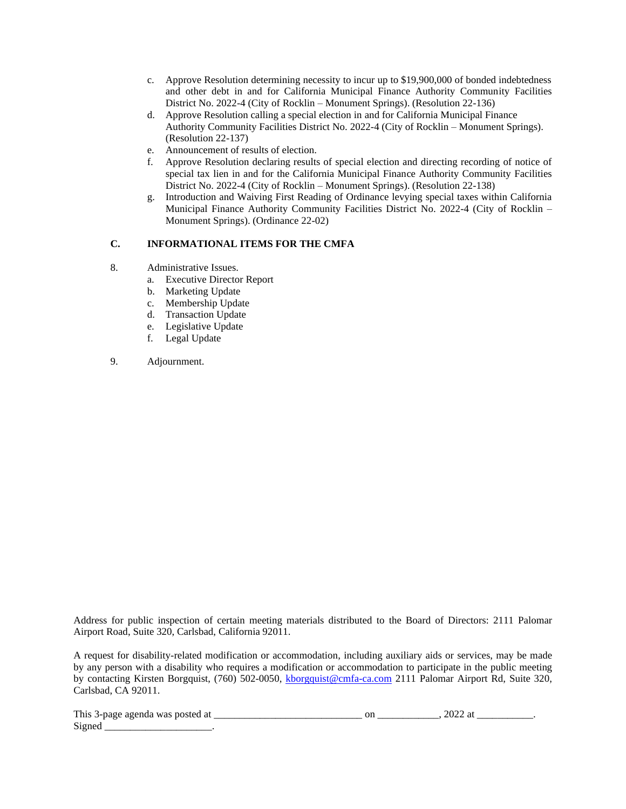- c. Approve Resolution determining necessity to incur up to \$19,900,000 of bonded indebtedness and other debt in and for California Municipal Finance Authority Community Facilities District No. 2022-4 (City of Rocklin – Monument Springs). (Resolution 22-136)
- d. Approve Resolution calling a special election in and for California Municipal Finance Authority Community Facilities District No. 2022-4 (City of Rocklin – Monument Springs). (Resolution 22-137)
- e. Announcement of results of election.
- f. Approve Resolution declaring results of special election and directing recording of notice of special tax lien in and for the California Municipal Finance Authority Community Facilities District No. 2022-4 (City of Rocklin – Monument Springs). (Resolution 22-138)
- g. Introduction and Waiving First Reading of Ordinance levying special taxes within California Municipal Finance Authority Community Facilities District No. 2022-4 (City of Rocklin – Monument Springs). (Ordinance 22-02)

### **C. INFORMATIONAL ITEMS FOR THE CMFA**

- 8. Administrative Issues.
	- a. Executive Director Report
	- b. Marketing Update
	- c. Membership Update
	- d. Transaction Update
	- e. Legislative Update
	- f. Legal Update
- 9. Adjournment.

Address for public inspection of certain meeting materials distributed to the Board of Directors: 2111 Palomar Airport Road, Suite 320, Carlsbad, California 92011.

A request for disability-related modification or accommodation, including auxiliary aids or services, may be made by any person with a disability who requires a modification or accommodation to participate in the public meeting by contacting Kirsten Borgquist, (760) 502-0050, [kborgquist@cmfa-ca.com](mailto:kborgquist@cmfa-ca.com) 2111 Palomar Airport Rd, Suite 320, Carlsbad, CA 92011.

| This<br>wa:<br>$\cdots$ - nave<br>זר<br>арепца<br>. | _____ | ◡<br>_______ | . |
|-----------------------------------------------------|-------|--------------|---|
| $\sim$<br>7. sa na<br>ື                             |       |              |   |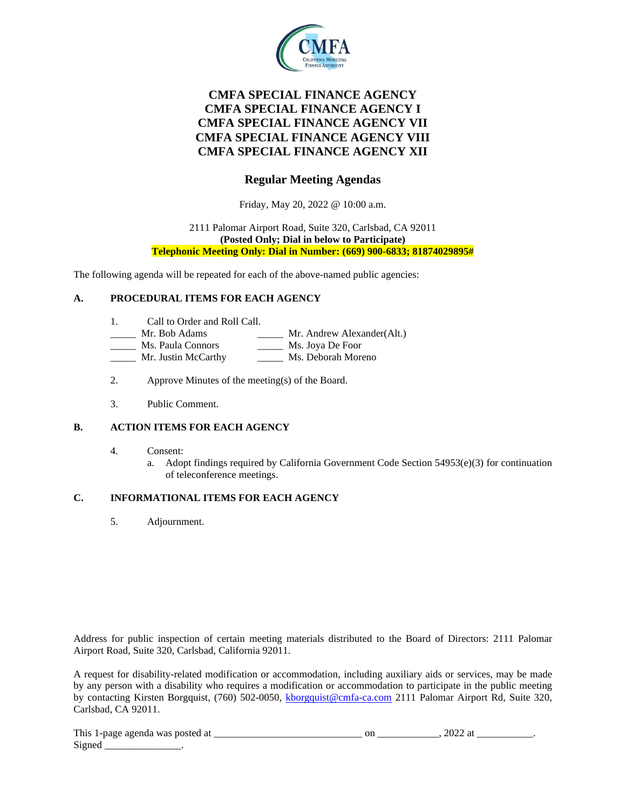

# **CMFA SPECIAL FINANCE AGENCY CMFA SPECIAL FINANCE AGENCY I CMFA SPECIAL FINANCE AGENCY VII CMFA SPECIAL FINANCE AGENCY VIII CMFA SPECIAL FINANCE AGENCY XII**

## **Regular Meeting Agendas**

Friday, May 20, 2022 @ 10:00 a.m.

#### 2111 Palomar Airport Road, Suite 320, Carlsbad, CA 92011 **(Posted Only; Dial in below to Participate) Telephonic Meeting Only: Dial in Number: (669) 900-6833; 81874029895#**

The following agenda will be repeated for each of the above-named public agencies:

### **A. PROCEDURAL ITEMS FOR EACH AGENCY**

- 1. Call to Order and Roll Call.
- Mr. Bob Adams \_\_\_\_\_\_\_ Mr. Andrew Alexander(Alt.)
- Ms. Paula Connors \_\_\_\_\_\_\_ Ms. Joya De Foor
- Mr. Justin McCarthy Ms. Deborah Moreno
- 2. Approve Minutes of the meeting(s) of the Board.
- 3. Public Comment.

### **B. ACTION ITEMS FOR EACH AGENCY**

- 4. Consent:
	- a. Adopt findings required by California Government Code Section  $54953(e)(3)$  for continuation of teleconference meetings.

### **C. INFORMATIONAL ITEMS FOR EACH AGENCY**

5. Adjournment.

Address for public inspection of certain meeting materials distributed to the Board of Directors: 2111 Palomar Airport Road, Suite 320, Carlsbad, California 92011.

A request for disability-related modification or accommodation, including auxiliary aids or services, may be made by any person with a disability who requires a modification or accommodation to participate in the public meeting by contacting Kirsten Borgquist, (760) 502-0050, [kborgquist@cmfa-ca.com](mailto:kborgquist@cmfa-ca.com) 2111 Palomar Airport Rd, Suite 320, Carlsbad, CA 92011.

| This<br>-ai<br>agenda<br>posted<br>was<br>T-page<br>$- - - -$<br>. | $\sim$ | ---- |  |
|--------------------------------------------------------------------|--------|------|--|
| $\sim$<br>Signec                                                   |        |      |  |